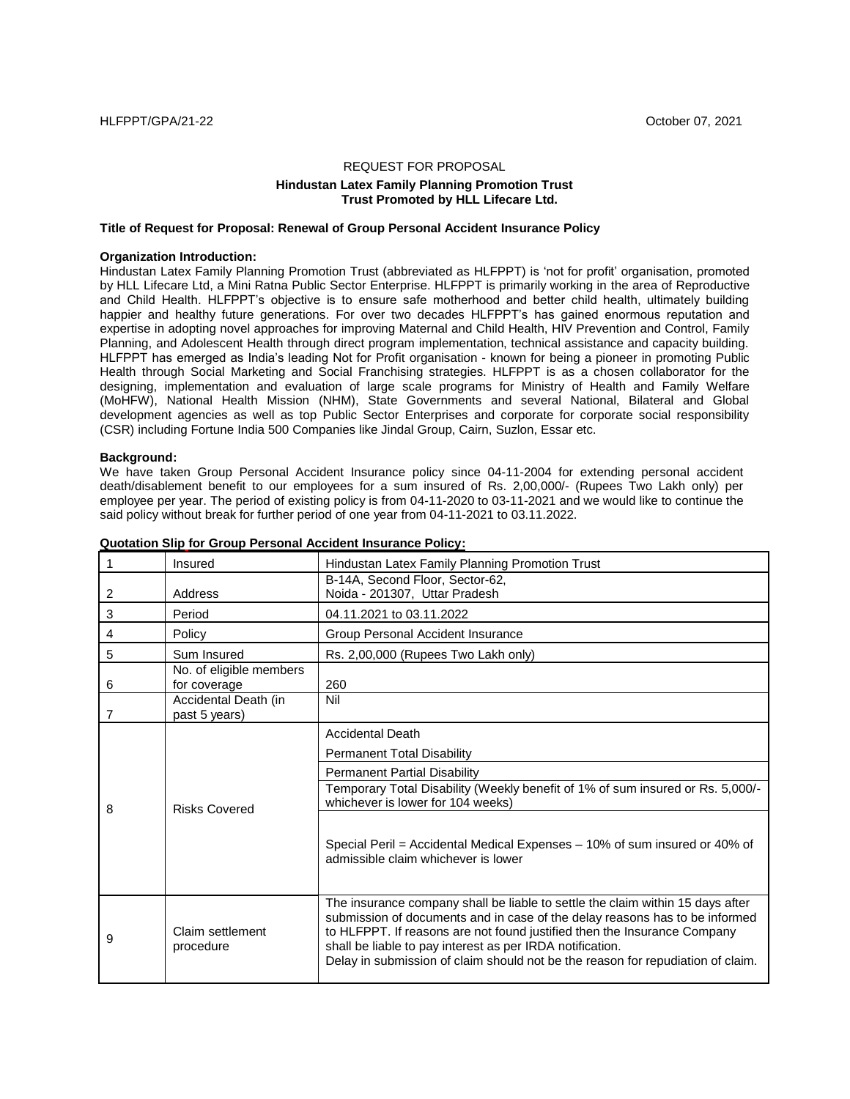## REQUEST FOR PROPOSAL **Hindustan Latex Family Planning Promotion Trust Trust Promoted by HLL Lifecare Ltd.**

#### **Title of Request for Proposal: Renewal of Group Personal Accident Insurance Policy**

#### **Organization Introduction:**

Hindustan Latex Family Planning Promotion Trust (abbreviated as HLFPPT) is "not for profit" organisation, promoted by HLL Lifecare Ltd, a Mini Ratna Public Sector Enterprise. HLFPPT is primarily working in the area of Reproductive and Child Health. HLFPPT"s objective is to ensure safe motherhood and better child health, ultimately building happier and healthy future generations. For over two decades HLFPPT's has gained enormous reputation and expertise in adopting novel approaches for improving Maternal and Child Health, HIV Prevention and Control, Family Planning, and Adolescent Health through direct program implementation, technical assistance and capacity building. HLFPPT has emerged as India"s leading Not for Profit organisation - known for being a pioneer in promoting Public Health through Social Marketing and Social Franchising strategies. HLFPPT is as a chosen collaborator for the designing, implementation and evaluation of large scale programs for Ministry of Health and Family Welfare (MoHFW), National Health Mission (NHM), State Governments and several National, Bilateral and Global development agencies as well as top Public Sector Enterprises and corporate for corporate social responsibility (CSR) including Fortune India 500 Companies like Jindal Group, Cairn, Suzlon, Essar etc.

#### **Background:**

We have taken Group Personal Accident Insurance policy since 04-11-2004 for extending personal accident death/disablement benefit to our employees for a sum insured of Rs. 2,00,000/- (Rupees Two Lakh only) per employee per year. The period of existing policy is from 04-11-2020 to 03-11-2021 and we would like to continue the said policy without break for further period of one year from 04-11-2021 to 03.11.2022.

| $\mathbf 1$    | Insured                                 | Hindustan Latex Family Planning Promotion Trust                                                                                                                                                                                                                                                                                                                                           |
|----------------|-----------------------------------------|-------------------------------------------------------------------------------------------------------------------------------------------------------------------------------------------------------------------------------------------------------------------------------------------------------------------------------------------------------------------------------------------|
| $\overline{2}$ | Address                                 | B-14A, Second Floor, Sector-62,<br>Noida - 201307, Uttar Pradesh                                                                                                                                                                                                                                                                                                                          |
| 3              | Period                                  | 04.11.2021 to 03.11.2022                                                                                                                                                                                                                                                                                                                                                                  |
| 4              | Policy                                  | Group Personal Accident Insurance                                                                                                                                                                                                                                                                                                                                                         |
| 5              | Sum Insured                             | Rs. 2,00,000 (Rupees Two Lakh only)                                                                                                                                                                                                                                                                                                                                                       |
| 6              | No. of eligible members<br>for coverage | 260                                                                                                                                                                                                                                                                                                                                                                                       |
| 7              | Accidental Death (in<br>past 5 years)   | Nil                                                                                                                                                                                                                                                                                                                                                                                       |
|                | <b>Risks Covered</b>                    | <b>Accidental Death</b>                                                                                                                                                                                                                                                                                                                                                                   |
|                |                                         | <b>Permanent Total Disability</b>                                                                                                                                                                                                                                                                                                                                                         |
|                |                                         | <b>Permanent Partial Disability</b>                                                                                                                                                                                                                                                                                                                                                       |
|                |                                         | Temporary Total Disability (Weekly benefit of 1% of sum insured or Rs. 5,000/-<br>whichever is lower for 104 weeks)                                                                                                                                                                                                                                                                       |
| 8              |                                         | Special Peril = Accidental Medical Expenses - 10% of sum insured or 40% of<br>admissible claim whichever is lower                                                                                                                                                                                                                                                                         |
| 9              | Claim settlement<br>procedure           | The insurance company shall be liable to settle the claim within 15 days after<br>submission of documents and in case of the delay reasons has to be informed<br>to HLFPPT. If reasons are not found justified then the Insurance Company<br>shall be liable to pay interest as per IRDA notification.<br>Delay in submission of claim should not be the reason for repudiation of claim. |

#### **Quotation Slip for Group Personal Accident Insurance Policy:**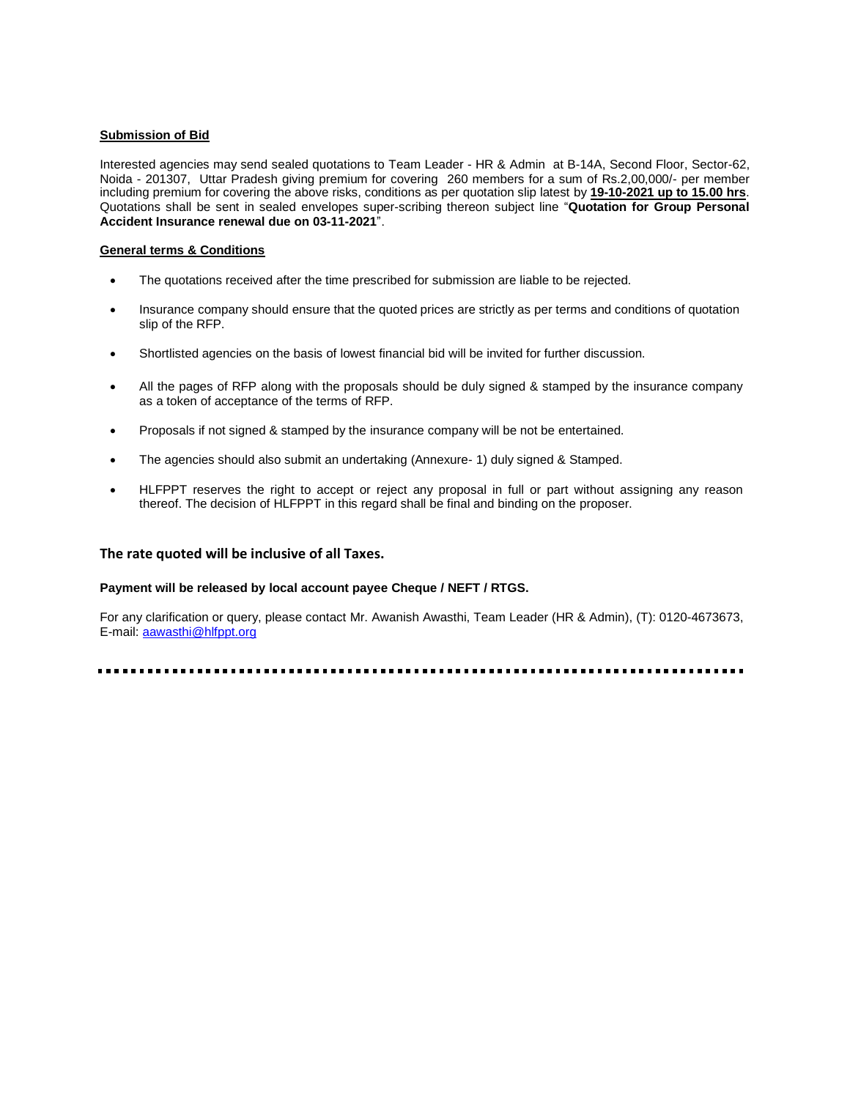### **Submission of Bid**

Interested agencies may send sealed quotations to Team Leader - HR & Admin at B-14A, Second Floor, Sector-62, Noida - 201307, Uttar Pradesh giving premium for covering 260 members for a sum of Rs.2,00,000/- per member including premium for covering the above risks, conditions as per quotation slip latest by **19-10-2021 up to 15.00 hrs**. Quotations shall be sent in sealed envelopes super-scribing thereon subject line "**Quotation for Group Personal Accident Insurance renewal due on 03-11-2021**".

## **General terms & Conditions**

- The quotations received after the time prescribed for submission are liable to be rejected.
- Insurance company should ensure that the quoted prices are strictly as per terms and conditions of quotation slip of the RFP.
- Shortlisted agencies on the basis of lowest financial bid will be invited for further discussion.
- All the pages of RFP along with the proposals should be duly signed & stamped by the insurance company as a token of acceptance of the terms of RFP.
- Proposals if not signed & stamped by the insurance company will be not be entertained.
- The agencies should also submit an undertaking (Annexure- 1) duly signed & Stamped.
- HLFPPT reserves the right to accept or reject any proposal in full or part without assigning any reason thereof. The decision of HLFPPT in this regard shall be final and binding on the proposer.

## **The rate quoted will be inclusive of all Taxes.**

#### **Payment will be released by local account payee Cheque / NEFT / RTGS.**

For any clarification or query, please contact Mr. Awanish Awasthi, Team Leader (HR & Admin), (T): 0120-4673673, E-mail[: aawasthi@hlfppt.org](mailto:sajida@hlfppt.org)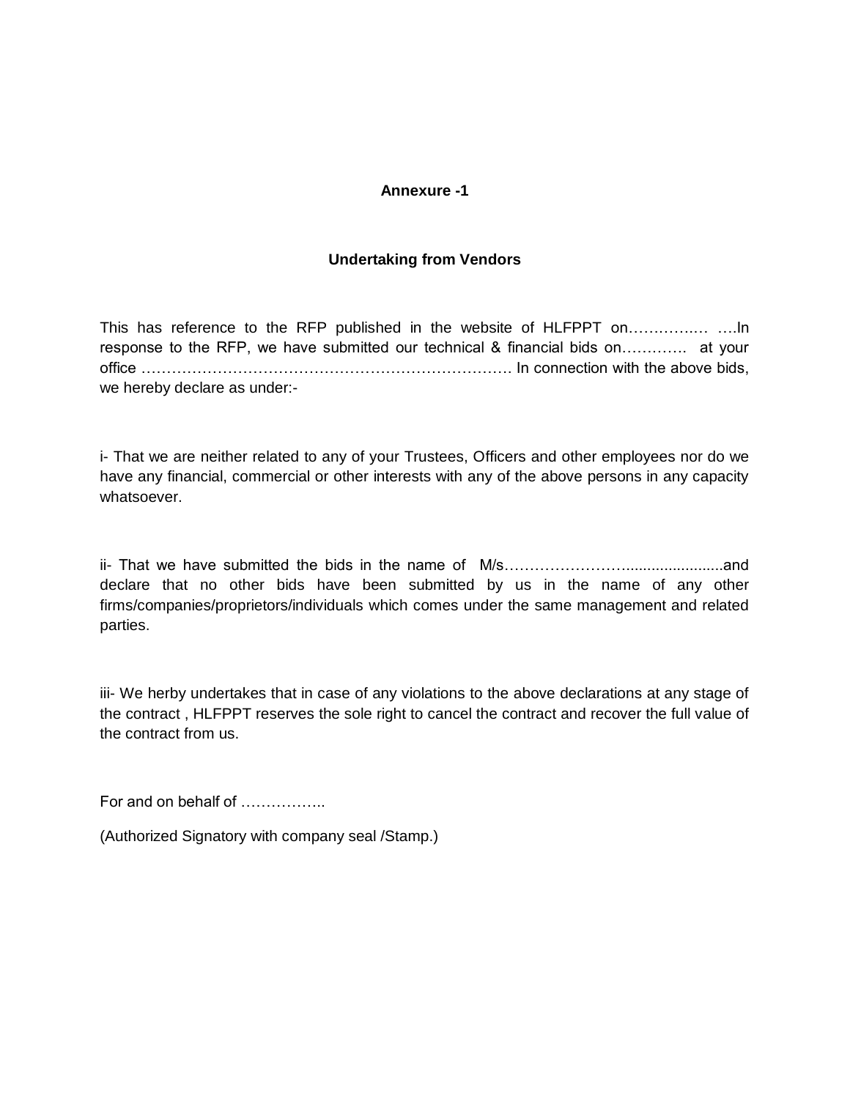## **Annexure -1**

# **Undertaking from Vendors**

This has reference to the RFP published in the website of HLFPPT on………….… ….In response to the RFP, we have submitted our technical & financial bids on…………. at your office ………………………………………………………………. In connection with the above bids, we hereby declare as under:-

i- That we are neither related to any of your Trustees, Officers and other employees nor do we have any financial, commercial or other interests with any of the above persons in any capacity whatsoever.

ii- That we have submitted the bids in the name of M/s…………………….......................and declare that no other bids have been submitted by us in the name of any other firms/companies/proprietors/individuals which comes under the same management and related parties.

iii- We herby undertakes that in case of any violations to the above declarations at any stage of the contract , HLFPPT reserves the sole right to cancel the contract and recover the full value of the contract from us.

For and on behalf of ……………..

(Authorized Signatory with company seal /Stamp.)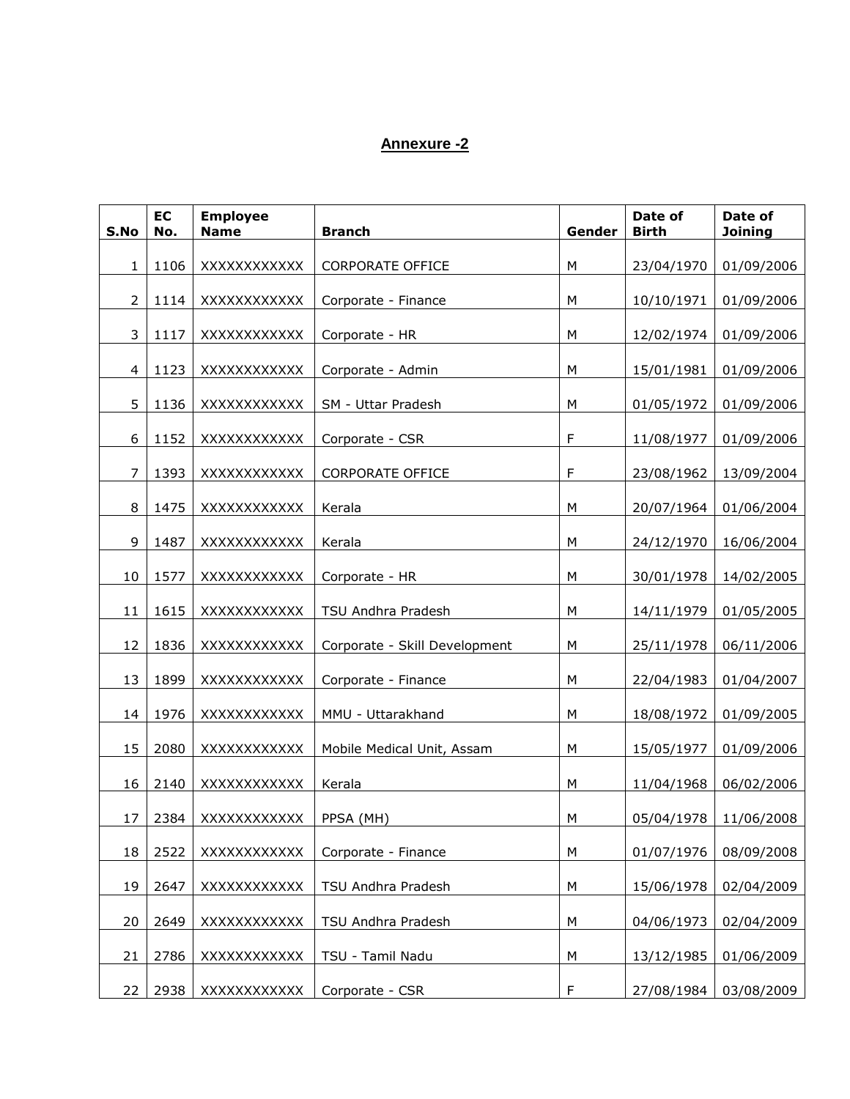# **Annexure -2**

| S.No | <b>EC</b><br>No. | <b>Employee</b><br><b>Name</b> | <b>Branch</b>                 | Gender      | Date of<br><b>Birth</b> | Date of<br><b>Joining</b> |
|------|------------------|--------------------------------|-------------------------------|-------------|-------------------------|---------------------------|
| 1    | 1106             | XXXXXXXXXXX                    | <b>CORPORATE OFFICE</b>       | M           | 23/04/1970              | 01/09/2006                |
| 2    | 1114             | XXXXXXXXXXX                    | Corporate - Finance           | M           | 10/10/1971              | 01/09/2006                |
| 3    | 1117             | XXXXXXXXXXX                    | Corporate - HR                | ${\sf M}$   | 12/02/1974              | 01/09/2006                |
| 4    | 1123             | XXXXXXXXXXX                    | Corporate - Admin             | M           | 15/01/1981              | 01/09/2006                |
| 5    | 1136             | XXXXXXXXXXX                    | SM - Uttar Pradesh            | M           | 01/05/1972              | 01/09/2006                |
| 6    | 1152             | XXXXXXXXXXX                    | Corporate - CSR               | $\mathsf F$ | 11/08/1977              | 01/09/2006                |
| 7    | 1393             | XXXXXXXXXXX                    | <b>CORPORATE OFFICE</b>       | $\mathsf F$ | 23/08/1962              | 13/09/2004                |
| 8    | 1475             | XXXXXXXXXXX                    | Kerala                        | M           | 20/07/1964              | 01/06/2004                |
| 9    | 1487             | XXXXXXXXXXX                    | Kerala                        | M           | 24/12/1970              | 16/06/2004                |
| 10   | 1577             |                                | Corporate - HR                | M           | 30/01/1978              |                           |
|      |                  | XXXXXXXXXXX                    |                               |             |                         | 14/02/2005                |
| 11   | 1615             | XXXXXXXXXXX                    | TSU Andhra Pradesh            | M           | 14/11/1979              | 01/05/2005                |
| 12   | 1836             | XXXXXXXXXXX                    | Corporate - Skill Development | M           | 25/11/1978              | 06/11/2006                |
| 13   | 1899             | XXXXXXXXXXX                    | Corporate - Finance           | ${\sf M}$   | 22/04/1983              | 01/04/2007                |
| 14   | 1976             | XXXXXXXXXXX                    | MMU - Uttarakhand             | M           | 18/08/1972              | 01/09/2005                |
| 15   | 2080             | XXXXXXXXXXX                    | Mobile Medical Unit, Assam    | M           | 15/05/1977              | 01/09/2006                |
| 16   | 2140             | XXXXXXXXXXX                    | Kerala                        | M           | 11/04/1968              | 06/02/2006                |
| 17   | 2384             | <b>XXXXXXXXXXX</b>             | PPSA (MH)                     | M           | 05/04/1978              | 11/06/2008                |
| 18   | 2522             | XXXXXXXXXXX                    | Corporate - Finance           | M           | 01/07/1976              | 08/09/2008                |
| 19   | 2647             | XXXXXXXXXXX                    | TSU Andhra Pradesh            | M           | 15/06/1978              | 02/04/2009                |
| 20   | 2649             | XXXXXXXXXXX                    | TSU Andhra Pradesh            | M           | 04/06/1973              | 02/04/2009                |
| 21   | 2786             | XXXXXXXXXXX                    | TSU - Tamil Nadu              | M           | 13/12/1985              | 01/06/2009                |
| 22   | 2938             | XXXXXXXXXXX                    | Corporate - CSR               | F           | 27/08/1984              | 03/08/2009                |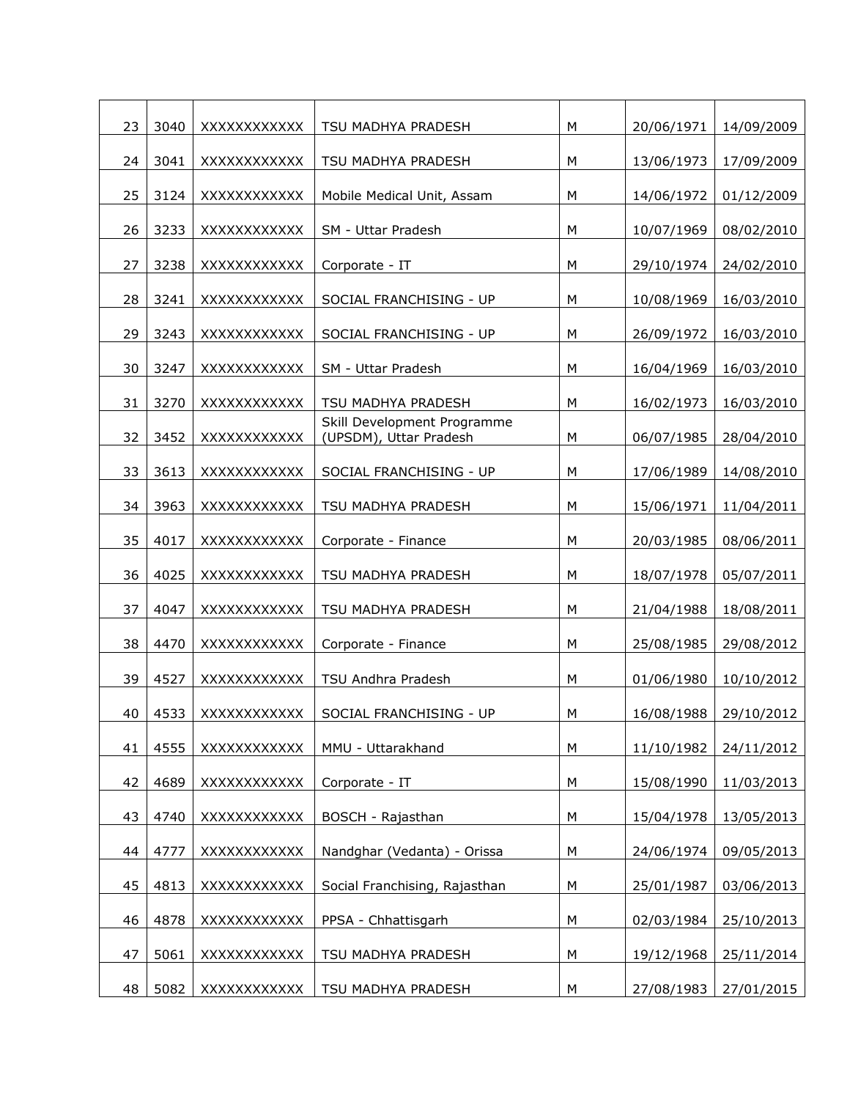| 23 | 3040 | XXXXXXXXXXX | TSU MADHYA PRADESH                                    | M         | 20/06/1971 | 14/09/2009 |
|----|------|-------------|-------------------------------------------------------|-----------|------------|------------|
| 24 | 3041 | XXXXXXXXXXX | TSU MADHYA PRADESH                                    | M         | 13/06/1973 | 17/09/2009 |
| 25 | 3124 | XXXXXXXXXXX | Mobile Medical Unit, Assam                            | M         | 14/06/1972 | 01/12/2009 |
| 26 | 3233 | XXXXXXXXXXX | SM - Uttar Pradesh                                    | M         | 10/07/1969 | 08/02/2010 |
| 27 | 3238 | XXXXXXXXXXX | Corporate - IT                                        | М         | 29/10/1974 | 24/02/2010 |
| 28 | 3241 | XXXXXXXXXXX | SOCIAL FRANCHISING - UP                               | M         | 10/08/1969 | 16/03/2010 |
| 29 | 3243 | XXXXXXXXXXX | SOCIAL FRANCHISING - UP                               | M         | 26/09/1972 | 16/03/2010 |
| 30 | 3247 | XXXXXXXXXXX | SM - Uttar Pradesh                                    | M         | 16/04/1969 | 16/03/2010 |
| 31 | 3270 | XXXXXXXXXXX | TSU MADHYA PRADESH                                    | ${\sf M}$ | 16/02/1973 | 16/03/2010 |
| 32 | 3452 | XXXXXXXXXXX | Skill Development Programme<br>(UPSDM), Uttar Pradesh | М         | 06/07/1985 | 28/04/2010 |
| 33 | 3613 | XXXXXXXXXXX | SOCIAL FRANCHISING - UP                               | M         | 17/06/1989 | 14/08/2010 |
| 34 | 3963 | XXXXXXXXXXX | TSU MADHYA PRADESH                                    | M         | 15/06/1971 | 11/04/2011 |
| 35 | 4017 | XXXXXXXXXXX | Corporate - Finance                                   | M         | 20/03/1985 | 08/06/2011 |
| 36 | 4025 | XXXXXXXXXXX | TSU MADHYA PRADESH                                    | M         | 18/07/1978 | 05/07/2011 |
| 37 | 4047 | XXXXXXXXXXX | TSU MADHYA PRADESH                                    | M         | 21/04/1988 | 18/08/2011 |
| 38 | 4470 | XXXXXXXXXXX | Corporate - Finance                                   | M         | 25/08/1985 | 29/08/2012 |
| 39 | 4527 | XXXXXXXXXXX | TSU Andhra Pradesh                                    | M         | 01/06/1980 | 10/10/2012 |
| 40 | 4533 | XXXXXXXXXXX | SOCIAL FRANCHISING - UP                               | M         | 16/08/1988 | 29/10/2012 |
| 41 | 4555 | XXXXXXXXXXX | MMU - Uttarakhand                                     | M         | 11/10/1982 | 24/11/2012 |
| 42 | 4689 | XXXXXXXXXXX | Corporate - IT                                        | M         | 15/08/1990 | 11/03/2013 |
| 43 | 4740 | XXXXXXXXXXX | BOSCH - Rajasthan                                     | ${\sf M}$ | 15/04/1978 | 13/05/2013 |
| 44 | 4777 | XXXXXXXXXXX | Nandghar (Vedanta) - Orissa                           | ${\sf M}$ | 24/06/1974 | 09/05/2013 |
| 45 | 4813 | XXXXXXXXXXX | Social Franchising, Rajasthan                         | M         | 25/01/1987 | 03/06/2013 |
| 46 | 4878 | XXXXXXXXXXX | PPSA - Chhattisgarh                                   | M         | 02/03/1984 | 25/10/2013 |
| 47 | 5061 | XXXXXXXXXXX | TSU MADHYA PRADESH                                    | М         | 19/12/1968 | 25/11/2014 |
| 48 | 5082 | XXXXXXXXXXX | TSU MADHYA PRADESH                                    | М         | 27/08/1983 | 27/01/2015 |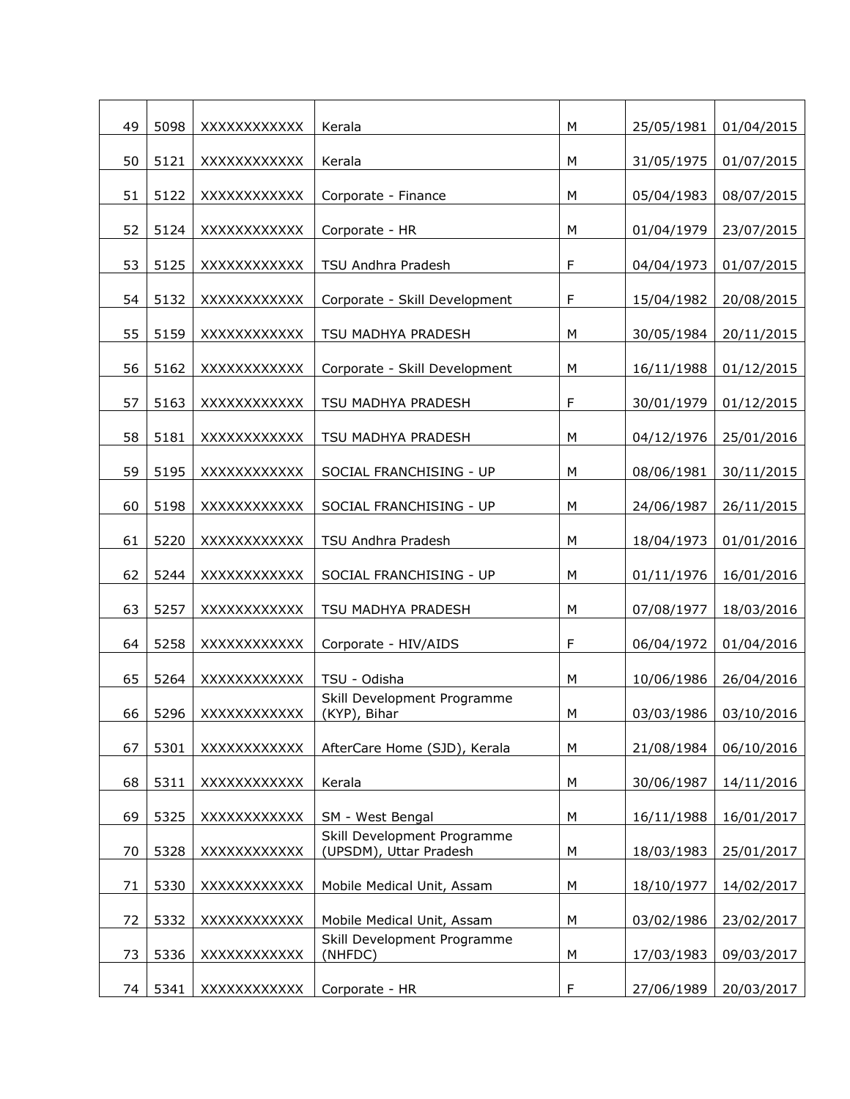| 49 | 5098 | XXXXXXXXXXX        | Kerala                                                | M           | 25/05/1981 | 01/04/2015 |
|----|------|--------------------|-------------------------------------------------------|-------------|------------|------------|
| 50 | 5121 | XXXXXXXXXXX        | Kerala                                                | ${\sf M}$   | 31/05/1975 | 01/07/2015 |
| 51 | 5122 | XXXXXXXXXXX        | Corporate - Finance                                   | M           | 05/04/1983 | 08/07/2015 |
| 52 | 5124 | XXXXXXXXXXX        | Corporate - HR                                        | М           | 01/04/1979 | 23/07/2015 |
| 53 | 5125 | XXXXXXXXXXX        | TSU Andhra Pradesh                                    | $\mathsf F$ | 04/04/1973 | 01/07/2015 |
| 54 | 5132 | <b>XXXXXXXXXXX</b> | Corporate - Skill Development                         | $\mathsf F$ | 15/04/1982 | 20/08/2015 |
| 55 | 5159 | XXXXXXXXXXX        | TSU MADHYA PRADESH                                    | M           | 30/05/1984 | 20/11/2015 |
| 56 | 5162 | XXXXXXXXXXX        | Corporate - Skill Development                         | M           | 16/11/1988 | 01/12/2015 |
| 57 | 5163 | XXXXXXXXXXX        | TSU MADHYA PRADESH                                    | $\mathsf F$ | 30/01/1979 | 01/12/2015 |
| 58 | 5181 | XXXXXXXXXXX        | TSU MADHYA PRADESH                                    | M           | 04/12/1976 | 25/01/2016 |
| 59 | 5195 | XXXXXXXXXXX        | SOCIAL FRANCHISING - UP                               | M           | 08/06/1981 | 30/11/2015 |
| 60 | 5198 | XXXXXXXXXXX        | SOCIAL FRANCHISING - UP                               | M           | 24/06/1987 | 26/11/2015 |
| 61 | 5220 | XXXXXXXXXXX        | TSU Andhra Pradesh                                    | M           | 18/04/1973 | 01/01/2016 |
| 62 | 5244 | XXXXXXXXXXX        | SOCIAL FRANCHISING - UP                               | M           | 01/11/1976 | 16/01/2016 |
| 63 | 5257 | XXXXXXXXXXX        | TSU MADHYA PRADESH                                    | M           | 07/08/1977 | 18/03/2016 |
| 64 | 5258 | <b>XXXXXXXXXXX</b> | Corporate - HIV/AIDS                                  | F           | 06/04/1972 | 01/04/2016 |
| 65 | 5264 | XXXXXXXXXXX        | TSU - Odisha                                          | М           | 10/06/1986 | 26/04/2016 |
| 66 | 5296 | XXXXXXXXXXX        | Skill Development Programme<br>(KYP), Bihar           | M           | 03/03/1986 | 03/10/2016 |
| 67 | 5301 | XXXXXXXXXXX        | AfterCare Home (SJD), Kerala                          | M           | 21/08/1984 | 06/10/2016 |
| 68 | 5311 | XXXXXXXXXXX        | Kerala                                                | ${\sf M}$   | 30/06/1987 | 14/11/2016 |
| 69 | 5325 | XXXXXXXXXXX        | SM - West Bengal                                      | ${\sf M}$   | 16/11/1988 | 16/01/2017 |
| 70 | 5328 | XXXXXXXXXXX        | Skill Development Programme<br>(UPSDM), Uttar Pradesh | ${\sf M}$   | 18/03/1983 | 25/01/2017 |
| 71 | 5330 | XXXXXXXXXXX        | Mobile Medical Unit, Assam                            | М           | 18/10/1977 | 14/02/2017 |
| 72 | 5332 | XXXXXXXXXXX        | Mobile Medical Unit, Assam                            | M           | 03/02/1986 | 23/02/2017 |
| 73 | 5336 | XXXXXXXXXXX        | Skill Development Programme<br>(NHFDC)                | M           | 17/03/1983 | 09/03/2017 |
| 74 | 5341 | XXXXXXXXXXX        | Corporate - HR                                        | $\mathsf F$ | 27/06/1989 | 20/03/2017 |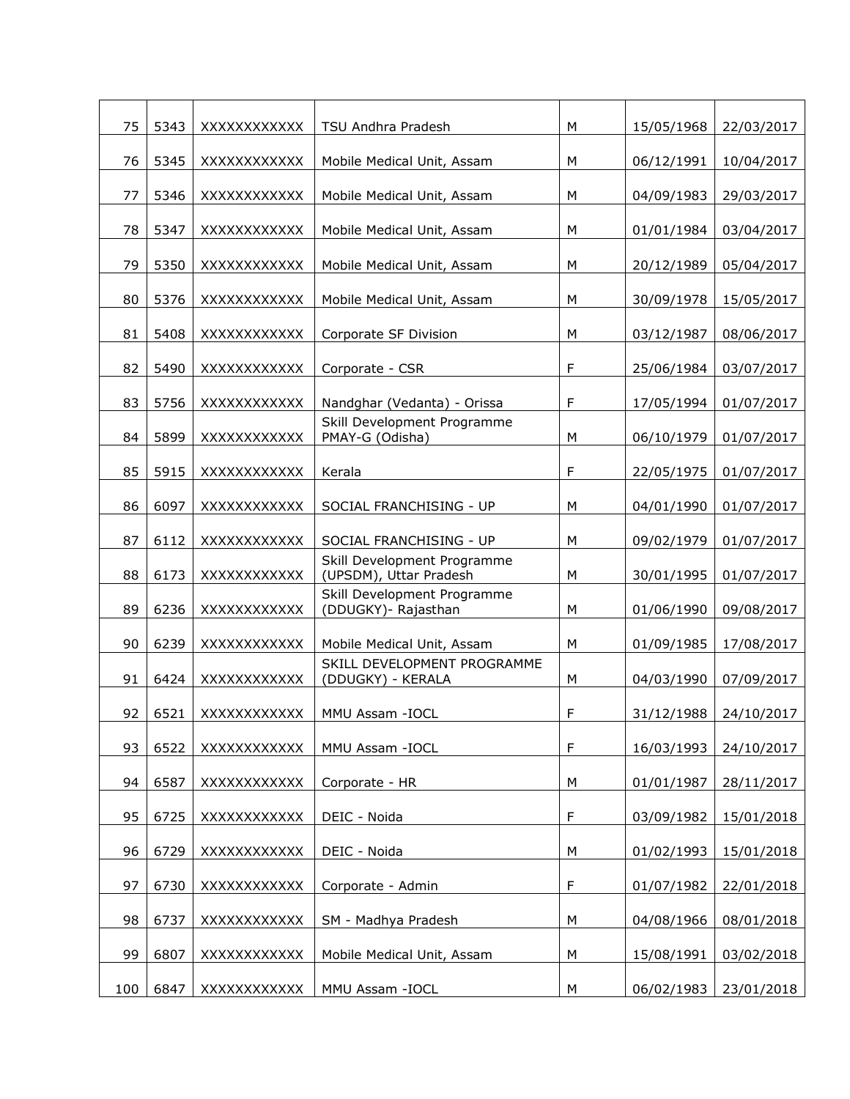| 75  | 5343 | <b>XXXXXXXXXXX</b> | TSU Andhra Pradesh                                    | M           | 15/05/1968 | 22/03/2017 |
|-----|------|--------------------|-------------------------------------------------------|-------------|------------|------------|
| 76  | 5345 | XXXXXXXXXXX        | Mobile Medical Unit, Assam                            | M           | 06/12/1991 | 10/04/2017 |
| 77  | 5346 | XXXXXXXXXXX        | Mobile Medical Unit, Assam                            | М           | 04/09/1983 | 29/03/2017 |
| 78  | 5347 | XXXXXXXXXXX        | Mobile Medical Unit, Assam                            | ${\sf M}$   | 01/01/1984 | 03/04/2017 |
| 79  | 5350 | XXXXXXXXXXX        | Mobile Medical Unit, Assam                            | M           | 20/12/1989 | 05/04/2017 |
| 80  | 5376 | XXXXXXXXXXX        | Mobile Medical Unit, Assam                            | M           | 30/09/1978 | 15/05/2017 |
| 81  | 5408 | XXXXXXXXXXX        | Corporate SF Division                                 | M           | 03/12/1987 | 08/06/2017 |
| 82  | 5490 | XXXXXXXXXXX        | Corporate - CSR                                       | $\mathsf F$ | 25/06/1984 | 03/07/2017 |
| 83  | 5756 | XXXXXXXXXXX        | Nandghar (Vedanta) - Orissa                           | $\mathsf F$ | 17/05/1994 | 01/07/2017 |
| 84  | 5899 | XXXXXXXXXXX        | Skill Development Programme<br>PMAY-G (Odisha)        | М           | 06/10/1979 | 01/07/2017 |
| 85  | 5915 | XXXXXXXXXXX        | Kerala                                                | $\mathsf F$ | 22/05/1975 | 01/07/2017 |
| 86  | 6097 | XXXXXXXXXXX        | SOCIAL FRANCHISING - UP                               | M           | 04/01/1990 | 01/07/2017 |
| 87  | 6112 | XXXXXXXXXXX        | SOCIAL FRANCHISING - UP                               | M           | 09/02/1979 | 01/07/2017 |
| 88  | 6173 | XXXXXXXXXXX        | Skill Development Programme<br>(UPSDM), Uttar Pradesh | ${\sf M}$   | 30/01/1995 | 01/07/2017 |
| 89  | 6236 | XXXXXXXXXXX        | Skill Development Programme<br>(DDUGKY) - Rajasthan   | M           | 01/06/1990 | 09/08/2017 |
| 90  | 6239 | XXXXXXXXXXX        | Mobile Medical Unit, Assam                            | М           | 01/09/1985 | 17/08/2017 |
| 91  | 6424 | XXXXXXXXXXX        | SKILL DEVELOPMENT PROGRAMME<br>(DDUGKY) - KERALA      | M           | 04/03/1990 | 07/09/2017 |
| 92  | 6521 | <b>XXXXXXXXXXX</b> | MMU Assam - IOCL                                      | $\mathsf F$ | 31/12/1988 | 24/10/2017 |
| 93  | 6522 | XXXXXXXXXXX        | MMU Assam - IOCL                                      | $\mathsf F$ | 16/03/1993 | 24/10/2017 |
| 94  | 6587 | XXXXXXXXXXX        | Corporate - HR                                        | M           | 01/01/1987 | 28/11/2017 |
| 95  | 6725 | XXXXXXXXXXX        | DEIC - Noida                                          | $\mathsf F$ | 03/09/1982 | 15/01/2018 |
| 96  | 6729 | XXXXXXXXXXX        | DEIC - Noida                                          | M           | 01/02/1993 | 15/01/2018 |
| 97  | 6730 | XXXXXXXXXXX        | Corporate - Admin                                     | $\mathsf F$ | 01/07/1982 | 22/01/2018 |
| 98  | 6737 | XXXXXXXXXXX        | SM - Madhya Pradesh                                   | M           | 04/08/1966 | 08/01/2018 |
| 99  | 6807 | XXXXXXXXXXX        | Mobile Medical Unit, Assam                            | M           | 15/08/1991 | 03/02/2018 |
| 100 | 6847 | XXXXXXXXXXX        | MMU Assam - IOCL                                      | М           | 06/02/1983 | 23/01/2018 |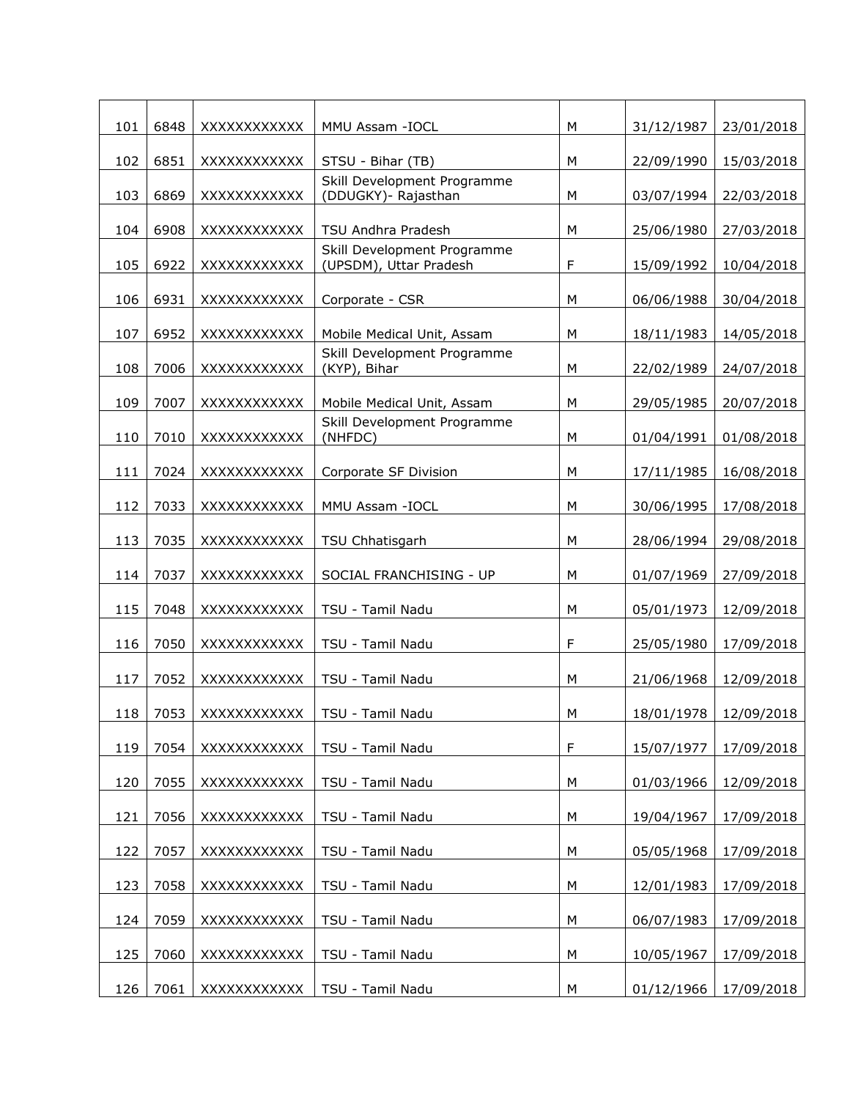| 101 | 6848 | XXXXXXXXXXX | MMU Assam - IOCL                                      | М           | 31/12/1987 | 23/01/2018 |
|-----|------|-------------|-------------------------------------------------------|-------------|------------|------------|
| 102 | 6851 | XXXXXXXXXXX | STSU - Bihar (TB)                                     | М           | 22/09/1990 | 15/03/2018 |
| 103 | 6869 | XXXXXXXXXXX | Skill Development Programme<br>(DDUGKY) - Rajasthan   | М           | 03/07/1994 | 22/03/2018 |
| 104 | 6908 | XXXXXXXXXXX | TSU Andhra Pradesh                                    | М           | 25/06/1980 | 27/03/2018 |
| 105 | 6922 | XXXXXXXXXXX | Skill Development Programme<br>(UPSDM), Uttar Pradesh | F           | 15/09/1992 | 10/04/2018 |
| 106 | 6931 | XXXXXXXXXXX | Corporate - CSR                                       | M           | 06/06/1988 | 30/04/2018 |
| 107 | 6952 | XXXXXXXXXXX | Mobile Medical Unit, Assam                            | M           | 18/11/1983 | 14/05/2018 |
| 108 | 7006 | XXXXXXXXXXX | Skill Development Programme<br>(KYP), Bihar           | M           | 22/02/1989 | 24/07/2018 |
| 109 | 7007 | XXXXXXXXXXX | Mobile Medical Unit, Assam                            | M           | 29/05/1985 | 20/07/2018 |
| 110 | 7010 | XXXXXXXXXXX | Skill Development Programme<br>(NHFDC)                | М           | 01/04/1991 | 01/08/2018 |
| 111 | 7024 | XXXXXXXXXXX | Corporate SF Division                                 | М           | 17/11/1985 | 16/08/2018 |
| 112 | 7033 | XXXXXXXXXXX | MMU Assam - IOCL                                      | M           | 30/06/1995 | 17/08/2018 |
| 113 | 7035 | XXXXXXXXXXX | TSU Chhatisgarh                                       | M           | 28/06/1994 | 29/08/2018 |
| 114 | 7037 | XXXXXXXXXXX | SOCIAL FRANCHISING - UP                               | M           | 01/07/1969 | 27/09/2018 |
| 115 | 7048 | XXXXXXXXXXX | TSU - Tamil Nadu                                      | M           | 05/01/1973 | 12/09/2018 |
| 116 | 7050 | XXXXXXXXXXX | TSU - Tamil Nadu                                      | $\mathsf F$ | 25/05/1980 | 17/09/2018 |
| 117 | 7052 | XXXXXXXXXXX | TSU - Tamil Nadu                                      | М           | 21/06/1968 | 12/09/2018 |
| 118 | 7053 | XXXXXXXXXXX | TSU - Tamil Nadu                                      | М           | 18/01/1978 | 12/09/2018 |
| 119 | 7054 | XXXXXXXXXXX | TSU - Tamil Nadu                                      | $\mathsf F$ | 15/07/1977 | 17/09/2018 |
| 120 | 7055 | XXXXXXXXXXX | TSU - Tamil Nadu                                      | M           | 01/03/1966 | 12/09/2018 |
| 121 | 7056 | XXXXXXXXXXX | TSU - Tamil Nadu                                      | M           | 19/04/1967 | 17/09/2018 |
| 122 | 7057 | XXXXXXXXXXX | TSU - Tamil Nadu                                      | М           | 05/05/1968 | 17/09/2018 |
| 123 | 7058 | XXXXXXXXXXX | TSU - Tamil Nadu                                      | М           | 12/01/1983 | 17/09/2018 |
| 124 | 7059 | XXXXXXXXXXX | TSU - Tamil Nadu                                      | М           | 06/07/1983 | 17/09/2018 |
| 125 | 7060 | XXXXXXXXXXX | TSU - Tamil Nadu                                      | М           | 10/05/1967 | 17/09/2018 |
| 126 | 7061 | XXXXXXXXXXX | TSU - Tamil Nadu                                      | М           | 01/12/1966 | 17/09/2018 |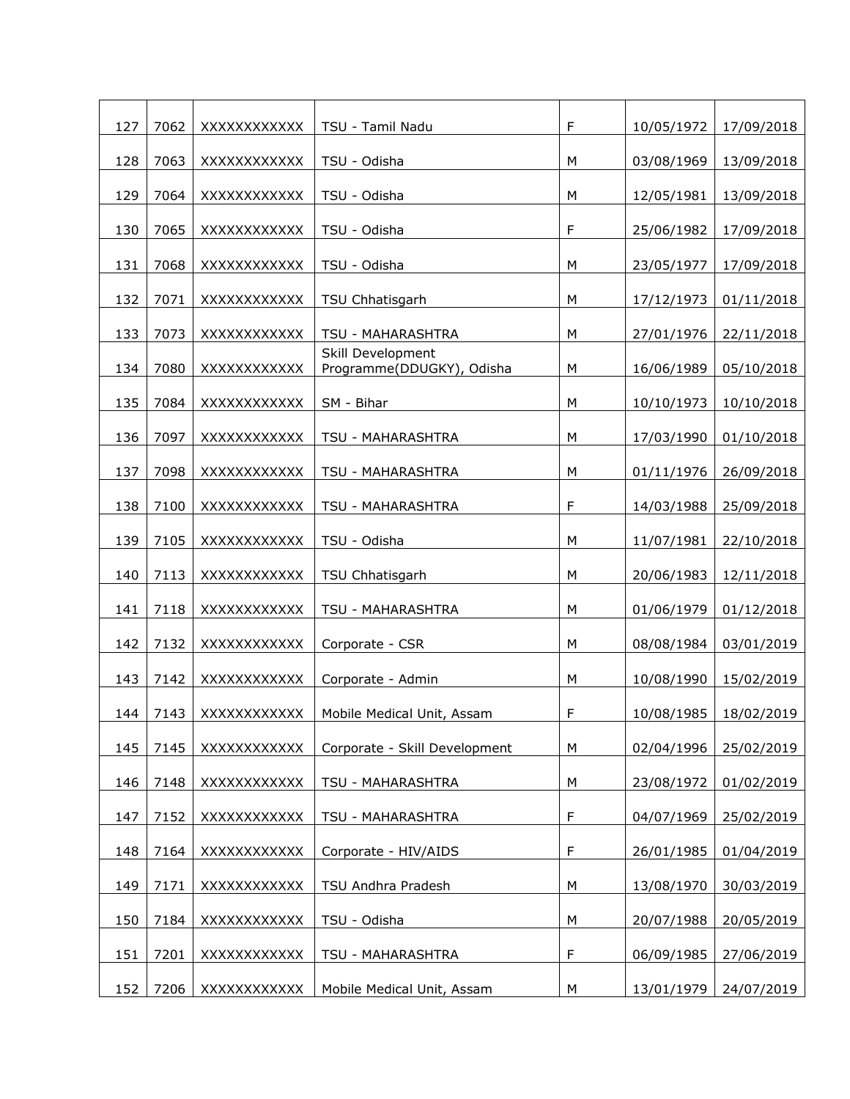| 127 | 7062 | <b>XXXXXXXXXXX</b> | TSU - Tamil Nadu                               | $\mathsf F$ | 10/05/1972 | 17/09/2018 |
|-----|------|--------------------|------------------------------------------------|-------------|------------|------------|
| 128 | 7063 | XXXXXXXXXXX        | TSU - Odisha                                   | M           | 03/08/1969 | 13/09/2018 |
| 129 | 7064 | XXXXXXXXXXX        | TSU - Odisha                                   | M           | 12/05/1981 | 13/09/2018 |
| 130 | 7065 | XXXXXXXXXXX        | TSU - Odisha                                   | $\mathsf F$ | 25/06/1982 | 17/09/2018 |
| 131 | 7068 | XXXXXXXXXXX        | TSU - Odisha                                   | M           | 23/05/1977 | 17/09/2018 |
| 132 | 7071 | XXXXXXXXXXX        | TSU Chhatisgarh                                | M           | 17/12/1973 | 01/11/2018 |
| 133 | 7073 | XXXXXXXXXXX        | TSU - MAHARASHTRA                              | M           | 27/01/1976 | 22/11/2018 |
| 134 | 7080 | XXXXXXXXXXX        | Skill Development<br>Programme(DDUGKY), Odisha | M           | 16/06/1989 | 05/10/2018 |
| 135 | 7084 | XXXXXXXXXXX        | SM - Bihar                                     | M           | 10/10/1973 | 10/10/2018 |
| 136 | 7097 | XXXXXXXXXXX        | TSU - MAHARASHTRA                              | M           | 17/03/1990 | 01/10/2018 |
| 137 | 7098 | XXXXXXXXXXX        | TSU - MAHARASHTRA                              | M           | 01/11/1976 | 26/09/2018 |
| 138 | 7100 | XXXXXXXXXXX        | TSU - MAHARASHTRA                              | $\mathsf F$ | 14/03/1988 | 25/09/2018 |
| 139 | 7105 | XXXXXXXXXXX        | TSU - Odisha                                   | M           | 11/07/1981 | 22/10/2018 |
| 140 | 7113 | XXXXXXXXXXX        | TSU Chhatisgarh                                | M           | 20/06/1983 | 12/11/2018 |
| 141 | 7118 | XXXXXXXXXXX        | TSU - MAHARASHTRA                              | M           | 01/06/1979 | 01/12/2018 |
| 142 | 7132 | <b>XXXXXXXXXXX</b> | Corporate - CSR                                | M           | 08/08/1984 | 03/01/2019 |
| 143 | 7142 | XXXXXXXXXXX        | Corporate - Admin                              | M           | 10/08/1990 | 15/02/2019 |
| 144 | 7143 | XXXXXXXXXXX        | Mobile Medical Unit, Assam                     | $\mathsf F$ | 10/08/1985 | 18/02/2019 |
| 145 | 7145 | XXXXXXXXXXX        | Corporate - Skill Development                  | M           | 02/04/1996 | 25/02/2019 |
| 146 | 7148 | XXXXXXXXXXX        | TSU - MAHARASHTRA                              | М           | 23/08/1972 | 01/02/2019 |
| 147 | 7152 | XXXXXXXXXXX        | TSU - MAHARASHTRA                              | $\mathsf F$ | 04/07/1969 | 25/02/2019 |
| 148 | 7164 | XXXXXXXXXXX        | Corporate - HIV/AIDS                           | $\mathsf F$ | 26/01/1985 | 01/04/2019 |
| 149 | 7171 | XXXXXXXXXXX        | TSU Andhra Pradesh                             | M           | 13/08/1970 | 30/03/2019 |
| 150 | 7184 | XXXXXXXXXXX        | TSU - Odisha                                   | M           | 20/07/1988 | 20/05/2019 |
| 151 | 7201 | XXXXXXXXXXX        | TSU - MAHARASHTRA                              | $\mathsf F$ | 06/09/1985 | 27/06/2019 |
| 152 | 7206 | XXXXXXXXXXX        | Mobile Medical Unit, Assam                     | М           | 13/01/1979 | 24/07/2019 |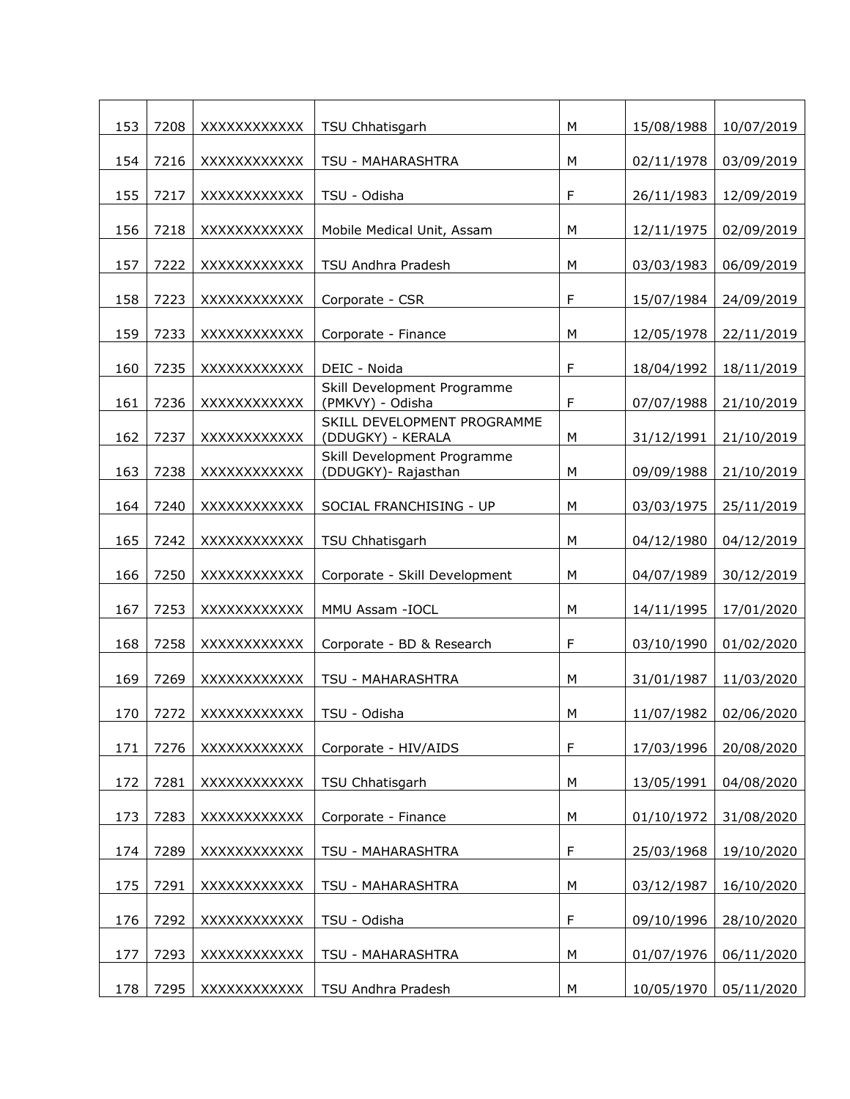| 153 | 7208 | XXXXXXXXXXX | TSU Chhatisgarh                                     | M           | 15/08/1988 | 10/07/2019 |
|-----|------|-------------|-----------------------------------------------------|-------------|------------|------------|
| 154 | 7216 | XXXXXXXXXXX | TSU - MAHARASHTRA                                   | M           | 02/11/1978 | 03/09/2019 |
| 155 | 7217 | XXXXXXXXXXX | TSU - Odisha                                        | $\mathsf F$ | 26/11/1983 | 12/09/2019 |
| 156 | 7218 | XXXXXXXXXXX | Mobile Medical Unit, Assam                          | M           | 12/11/1975 | 02/09/2019 |
| 157 | 7222 | XXXXXXXXXXX | TSU Andhra Pradesh                                  | M           | 03/03/1983 | 06/09/2019 |
| 158 | 7223 | XXXXXXXXXXX | Corporate - CSR                                     | F           | 15/07/1984 | 24/09/2019 |
| 159 | 7233 | XXXXXXXXXXX | Corporate - Finance                                 | M           | 12/05/1978 | 22/11/2019 |
| 160 | 7235 | XXXXXXXXXXX | DEIC - Noida                                        | $\mathsf F$ | 18/04/1992 | 18/11/2019 |
| 161 | 7236 | XXXXXXXXXXX | Skill Development Programme<br>(PMKVY) - Odisha     | $\mathsf F$ | 07/07/1988 | 21/10/2019 |
| 162 | 7237 | XXXXXXXXXXX | SKILL DEVELOPMENT PROGRAMME<br>(DDUGKY) - KERALA    | M           | 31/12/1991 | 21/10/2019 |
| 163 | 7238 | XXXXXXXXXXX | Skill Development Programme<br>(DDUGKY) - Rajasthan | M           | 09/09/1988 | 21/10/2019 |
| 164 | 7240 | XXXXXXXXXXX | SOCIAL FRANCHISING - UP                             | M           | 03/03/1975 | 25/11/2019 |
| 165 | 7242 | XXXXXXXXXXX | TSU Chhatisgarh                                     | M           | 04/12/1980 | 04/12/2019 |
| 166 | 7250 | XXXXXXXXXXX | Corporate - Skill Development                       | M           | 04/07/1989 | 30/12/2019 |
| 167 | 7253 | XXXXXXXXXXX | MMU Assam - IOCL                                    | M           | 14/11/1995 | 17/01/2020 |
| 168 | 7258 | XXXXXXXXXXX | Corporate - BD & Research                           | $\mathsf F$ | 03/10/1990 | 01/02/2020 |
| 169 | 7269 | XXXXXXXXXXX | TSU - MAHARASHTRA                                   | M           | 31/01/1987 | 11/03/2020 |
| 170 | 7272 | XXXXXXXXXXX | TSU - Odisha                                        | M           | 11/07/1982 | 02/06/2020 |
| 171 | 7276 | XXXXXXXXXXX | Corporate - HIV/AIDS                                | $\mathsf F$ | 17/03/1996 | 20/08/2020 |
| 172 | 7281 | XXXXXXXXXXX | TSU Chhatisgarh                                     | M           | 13/05/1991 | 04/08/2020 |
| 173 | 7283 | XXXXXXXXXXX | Corporate - Finance                                 | M           | 01/10/1972 | 31/08/2020 |
| 174 | 7289 | XXXXXXXXXXX | TSU - MAHARASHTRA                                   | $\mathsf F$ | 25/03/1968 | 19/10/2020 |
| 175 | 7291 | XXXXXXXXXXX | TSU - MAHARASHTRA                                   | M           | 03/12/1987 | 16/10/2020 |
| 176 | 7292 | XXXXXXXXXXX | TSU - Odisha                                        | $\mathsf F$ | 09/10/1996 | 28/10/2020 |
| 177 | 7293 | XXXXXXXXXXX | TSU - MAHARASHTRA                                   | М           | 01/07/1976 | 06/11/2020 |
| 178 | 7295 | XXXXXXXXXXX | TSU Andhra Pradesh                                  | М           | 10/05/1970 | 05/11/2020 |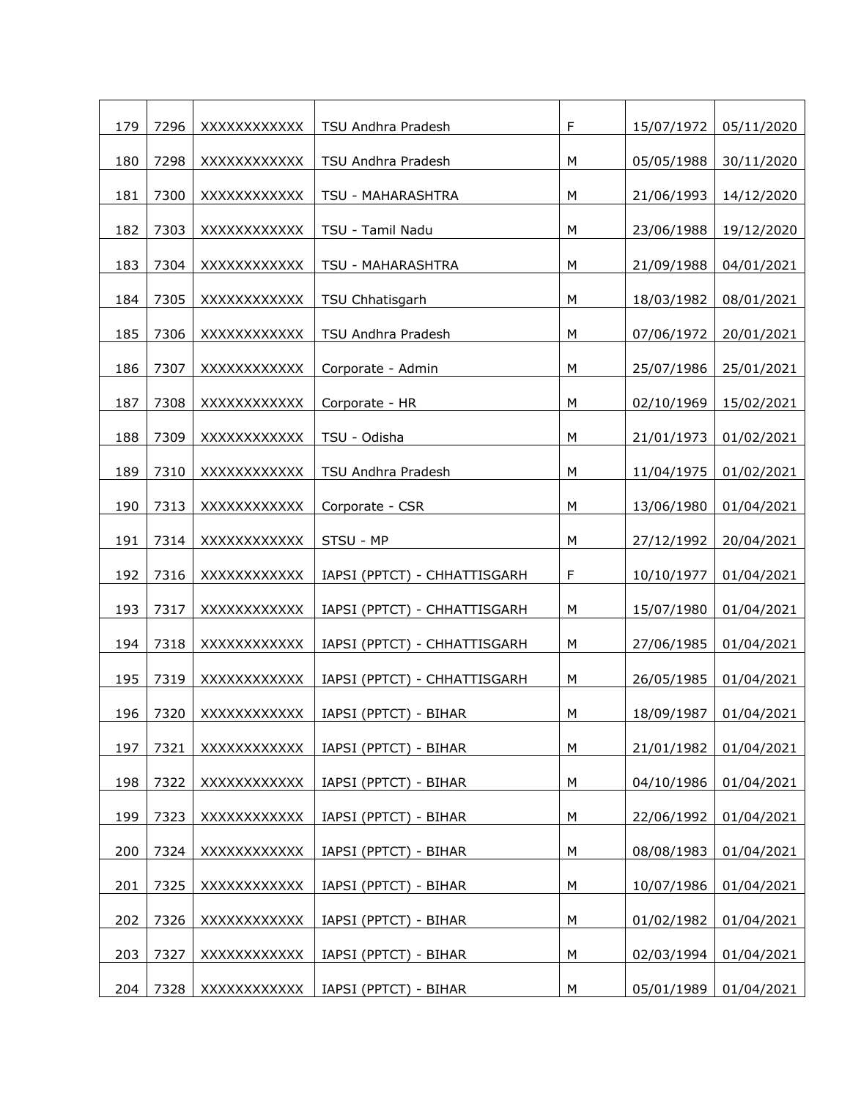| 179 | 7296 | XXXXXXXXXXX        | TSU Andhra Pradesh           | $\mathsf F$ | 15/07/1972 | 05/11/2020 |
|-----|------|--------------------|------------------------------|-------------|------------|------------|
| 180 | 7298 | XXXXXXXXXXX        | TSU Andhra Pradesh           | M           | 05/05/1988 | 30/11/2020 |
| 181 | 7300 | <b>XXXXXXXXXXX</b> | TSU - MAHARASHTRA            | M           | 21/06/1993 | 14/12/2020 |
| 182 | 7303 | XXXXXXXXXXX        | TSU - Tamil Nadu             | M           | 23/06/1988 | 19/12/2020 |
| 183 | 7304 | XXXXXXXXXXX        | TSU - MAHARASHTRA            | M           | 21/09/1988 | 04/01/2021 |
| 184 | 7305 | XXXXXXXXXXX        | TSU Chhatisgarh              | M           | 18/03/1982 | 08/01/2021 |
| 185 | 7306 | XXXXXXXXXXX        | TSU Andhra Pradesh           | M           | 07/06/1972 | 20/01/2021 |
| 186 | 7307 | XXXXXXXXXXX        | Corporate - Admin            | M           | 25/07/1986 | 25/01/2021 |
| 187 | 7308 | XXXXXXXXXXX        | Corporate - HR               | M           | 02/10/1969 | 15/02/2021 |
| 188 | 7309 | XXXXXXXXXXX        | TSU - Odisha                 | M           | 21/01/1973 | 01/02/2021 |
| 189 | 7310 | XXXXXXXXXXX        | TSU Andhra Pradesh           | M           | 11/04/1975 | 01/02/2021 |
| 190 | 7313 | XXXXXXXXXXX        | Corporate - CSR              | M           | 13/06/1980 | 01/04/2021 |
| 191 | 7314 | XXXXXXXXXXX        | STSU - MP                    | M           | 27/12/1992 | 20/04/2021 |
| 192 | 7316 | XXXXXXXXXXX        | IAPSI (PPTCT) - CHHATTISGARH | $\mathsf F$ | 10/10/1977 | 01/04/2021 |
| 193 | 7317 | XXXXXXXXXXX        | IAPSI (PPTCT) - CHHATTISGARH | M           | 15/07/1980 | 01/04/2021 |
| 194 | 7318 | XXXXXXXXXXX        | IAPSI (PPTCT) - CHHATTISGARH | M           | 27/06/1985 | 01/04/2021 |
| 195 | 7319 | XXXXXXXXXXX        | IAPSI (PPTCT) - CHHATTISGARH | М           | 26/05/1985 | 01/04/2021 |
| 196 | 7320 | XXXXXXXXXXX        | IAPSI (PPTCT) - BIHAR        | M           | 18/09/1987 | 01/04/2021 |
| 197 | 7321 | XXXXXXXXXXX        | IAPSI (PPTCT) - BIHAR        | M           | 21/01/1982 | 01/04/2021 |
| 198 | 7322 | XXXXXXXXXXX        | IAPSI (PPTCT) - BIHAR        | M           | 04/10/1986 | 01/04/2021 |
| 199 | 7323 | XXXXXXXXXXX        | IAPSI (PPTCT) - BIHAR        | M           | 22/06/1992 | 01/04/2021 |
| 200 | 7324 | XXXXXXXXXXX        | IAPSI (PPTCT) - BIHAR        | M           | 08/08/1983 | 01/04/2021 |
| 201 | 7325 | XXXXXXXXXXX        | IAPSI (PPTCT) - BIHAR        | M           | 10/07/1986 | 01/04/2021 |
| 202 | 7326 | XXXXXXXXXXX        | IAPSI (PPTCT) - BIHAR        | M           | 01/02/1982 | 01/04/2021 |
| 203 | 7327 | XXXXXXXXXXX        | IAPSI (PPTCT) - BIHAR        | М           | 02/03/1994 | 01/04/2021 |
| 204 | 7328 | XXXXXXXXXXX        | IAPSI (PPTCT) - BIHAR        | М           | 05/01/1989 | 01/04/2021 |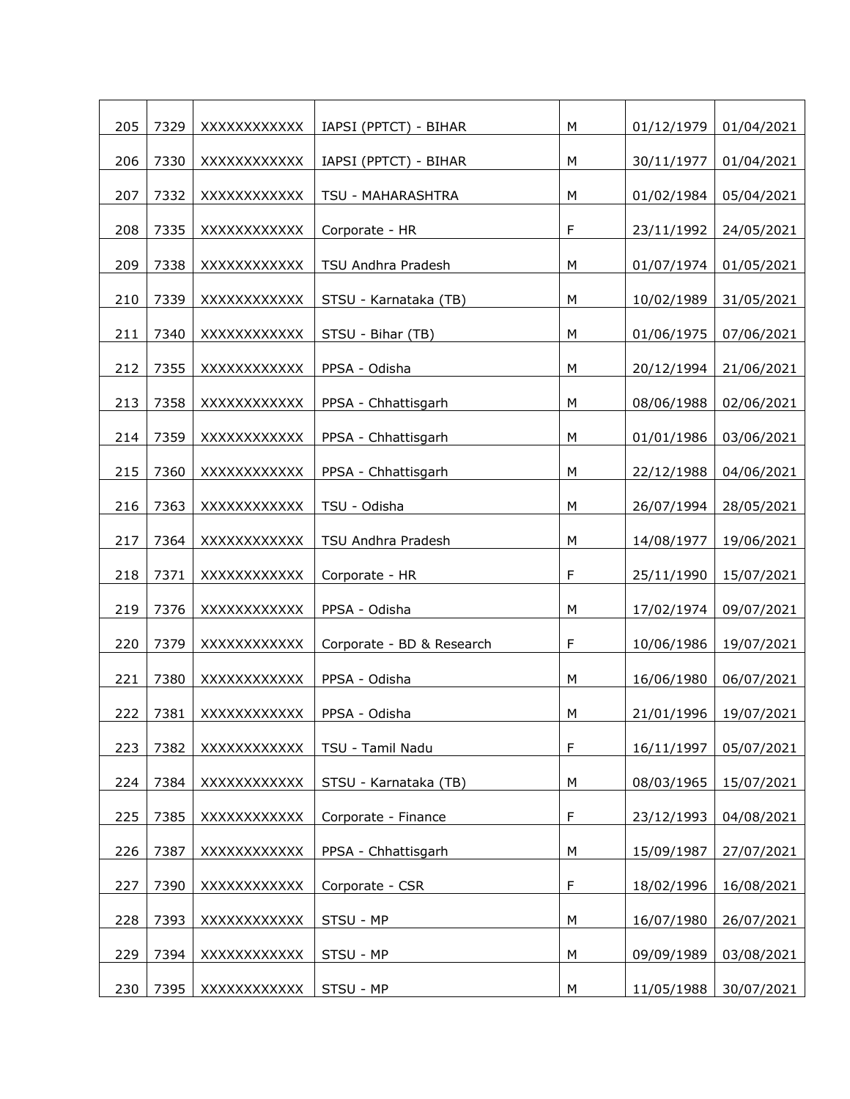| 205 | 7329 | XXXXXXXXXXX        | IAPSI (PPTCT) - BIHAR     | M           | 01/12/1979 | 01/04/2021 |
|-----|------|--------------------|---------------------------|-------------|------------|------------|
| 206 | 7330 | <b>XXXXXXXXXXX</b> | IAPSI (PPTCT) - BIHAR     | M           | 30/11/1977 | 01/04/2021 |
| 207 | 7332 | XXXXXXXXXXX        | TSU - MAHARASHTRA         | M           | 01/02/1984 | 05/04/2021 |
| 208 | 7335 | XXXXXXXXXXX        | Corporate - HR            | $\mathsf F$ | 23/11/1992 | 24/05/2021 |
| 209 | 7338 | XXXXXXXXXXX        | TSU Andhra Pradesh        | M           | 01/07/1974 | 01/05/2021 |
| 210 | 7339 | XXXXXXXXXXX        | STSU - Karnataka (TB)     | M           | 10/02/1989 | 31/05/2021 |
| 211 | 7340 | XXXXXXXXXXX        | STSU - Bihar (TB)         | M           | 01/06/1975 | 07/06/2021 |
| 212 | 7355 | XXXXXXXXXXX        | PPSA - Odisha             | M           | 20/12/1994 | 21/06/2021 |
| 213 | 7358 | XXXXXXXXXXX        | PPSA - Chhattisgarh       | M           | 08/06/1988 | 02/06/2021 |
| 214 | 7359 | XXXXXXXXXXX        | PPSA - Chhattisgarh       | M           | 01/01/1986 | 03/06/2021 |
| 215 | 7360 | XXXXXXXXXXX        | PPSA - Chhattisgarh       | M           | 22/12/1988 | 04/06/2021 |
| 216 | 7363 | XXXXXXXXXXX        | TSU - Odisha              | M           | 26/07/1994 | 28/05/2021 |
| 217 | 7364 | XXXXXXXXXXX        | TSU Andhra Pradesh        | M           | 14/08/1977 | 19/06/2021 |
| 218 | 7371 | XXXXXXXXXXX        | Corporate - HR            | $\mathsf F$ | 25/11/1990 | 15/07/2021 |
| 219 | 7376 | XXXXXXXXXXX        | PPSA - Odisha             | M           | 17/02/1974 | 09/07/2021 |
| 220 | 7379 | XXXXXXXXXXX        | Corporate - BD & Research | $\mathsf F$ | 10/06/1986 | 19/07/2021 |
| 221 | 7380 | XXXXXXXXXXX        | PPSA - Odisha             | M           | 16/06/1980 | 06/07/2021 |
| 222 | 7381 | XXXXXXXXXXX        | PPSA - Odisha             | M           | 21/01/1996 | 19/07/2021 |
| 223 | 7382 | XXXXXXXXXXX        | TSU - Tamil Nadu          | $\mathsf F$ | 16/11/1997 | 05/07/2021 |
| 224 | 7384 | XXXXXXXXXXX        | STSU - Karnataka (TB)     | M           | 08/03/1965 | 15/07/2021 |
| 225 | 7385 | XXXXXXXXXXX        | Corporate - Finance       | $\mathsf F$ | 23/12/1993 | 04/08/2021 |
| 226 | 7387 | XXXXXXXXXXX        | PPSA - Chhattisgarh       | M           | 15/09/1987 | 27/07/2021 |
| 227 | 7390 | XXXXXXXXXXX        | Corporate - CSR           | $\mathsf F$ | 18/02/1996 | 16/08/2021 |
| 228 | 7393 | XXXXXXXXXXX        | STSU - MP                 | M           | 16/07/1980 | 26/07/2021 |
| 229 | 7394 | XXXXXXXXXXX        | STSU - MP                 | M           | 09/09/1989 | 03/08/2021 |
| 230 | 7395 | XXXXXXXXXXX        | STSU - MP                 | M           | 11/05/1988 | 30/07/2021 |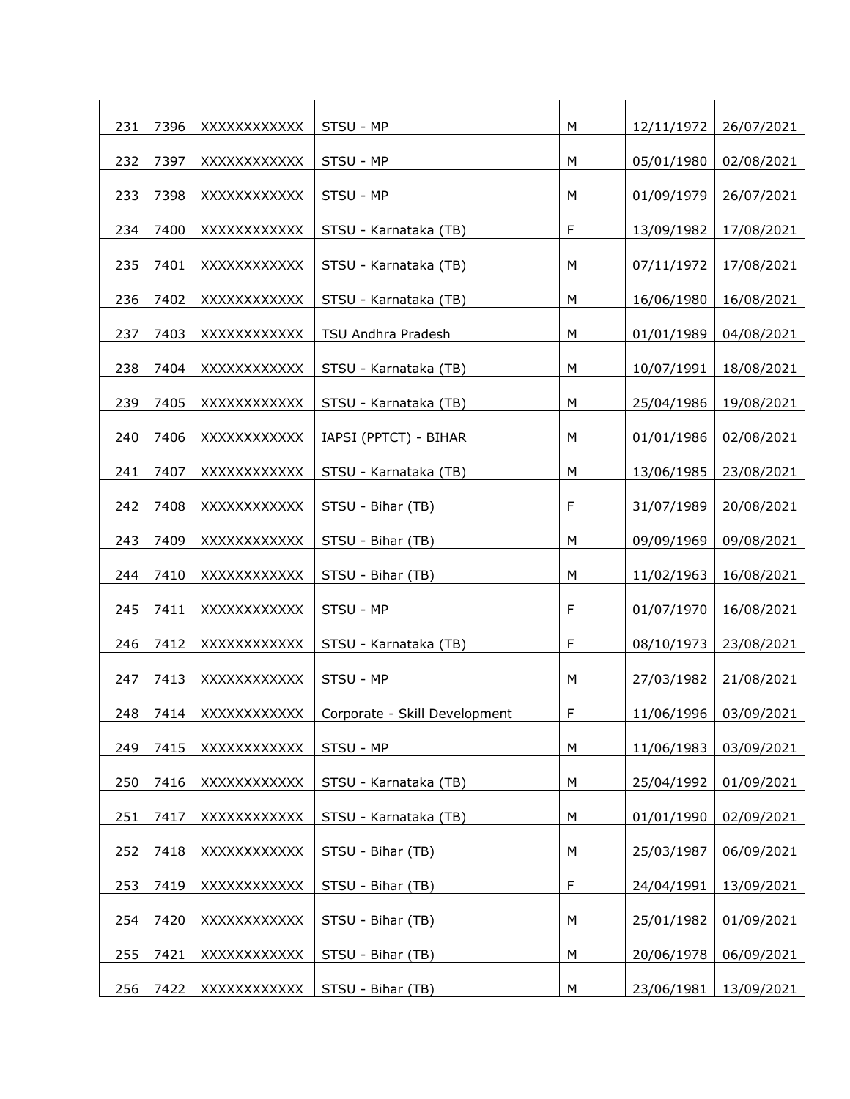| 231 | 7396 | XXXXXXXXXXX        | STSU - MP                     | M           | 12/11/1972 | 26/07/2021 |
|-----|------|--------------------|-------------------------------|-------------|------------|------------|
| 232 | 7397 | XXXXXXXXXXX        | STSU - MP                     | M           | 05/01/1980 | 02/08/2021 |
| 233 | 7398 | <b>XXXXXXXXXXX</b> | STSU - MP                     | M           | 01/09/1979 | 26/07/2021 |
| 234 | 7400 | XXXXXXXXXXX        | STSU - Karnataka (TB)         | $\mathsf F$ | 13/09/1982 | 17/08/2021 |
| 235 | 7401 | XXXXXXXXXXX        | STSU - Karnataka (TB)         | M           | 07/11/1972 | 17/08/2021 |
| 236 | 7402 | XXXXXXXXXXX        | STSU - Karnataka (TB)         | M           | 16/06/1980 | 16/08/2021 |
| 237 | 7403 | XXXXXXXXXXX        | TSU Andhra Pradesh            | M           | 01/01/1989 | 04/08/2021 |
| 238 | 7404 | XXXXXXXXXXX        | STSU - Karnataka (TB)         | M           | 10/07/1991 | 18/08/2021 |
| 239 | 7405 | XXXXXXXXXXX        | STSU - Karnataka (TB)         | M           | 25/04/1986 | 19/08/2021 |
| 240 | 7406 | XXXXXXXXXXX        | IAPSI (PPTCT) - BIHAR         | M           | 01/01/1986 | 02/08/2021 |
| 241 | 7407 | XXXXXXXXXXX        | STSU - Karnataka (TB)         | M           | 13/06/1985 | 23/08/2021 |
| 242 | 7408 | XXXXXXXXXXX        | STSU - Bihar (TB)             | $\mathsf F$ | 31/07/1989 | 20/08/2021 |
| 243 | 7409 | XXXXXXXXXXX        | STSU - Bihar (TB)             | M           | 09/09/1969 | 09/08/2021 |
| 244 | 7410 | XXXXXXXXXXX        | STSU - Bihar (TB)             | M           | 11/02/1963 | 16/08/2021 |
| 245 | 7411 | XXXXXXXXXXX        | STSU - MP                     | $\mathsf F$ | 01/07/1970 | 16/08/2021 |
| 246 | 7412 | XXXXXXXXXXX        | STSU - Karnataka (TB)         | $\mathsf F$ | 08/10/1973 | 23/08/2021 |
| 247 | 7413 | <b>XXXXXXXXXXX</b> | STSU - MP                     | M           | 27/03/1982 | 21/08/2021 |
| 248 | 7414 | XXXXXXXXXXX        | Corporate - Skill Development | $\mathsf F$ | 11/06/1996 | 03/09/2021 |
| 249 | 7415 | XXXXXXXXXXX        | STSU - MP                     | M           | 11/06/1983 | 03/09/2021 |
| 250 | 7416 | XXXXXXXXXXX        | STSU - Karnataka (TB)         | M           | 25/04/1992 | 01/09/2021 |
| 251 | 7417 | XXXXXXXXXXX        | STSU - Karnataka (TB)         | M           | 01/01/1990 | 02/09/2021 |
| 252 | 7418 | XXXXXXXXXXX        | STSU - Bihar (TB)             | M           | 25/03/1987 | 06/09/2021 |
| 253 | 7419 | XXXXXXXXXXX        | STSU - Bihar (TB)             | $\mathsf F$ | 24/04/1991 | 13/09/2021 |
| 254 | 7420 | XXXXXXXXXXX        | STSU - Bihar (TB)             | M           | 25/01/1982 | 01/09/2021 |
| 255 | 7421 | XXXXXXXXXXX        | STSU - Bihar (TB)             | M           | 20/06/1978 | 06/09/2021 |
| 256 | 7422 | XXXXXXXXXXX        | STSU - Bihar (TB)             | М           | 23/06/1981 | 13/09/2021 |